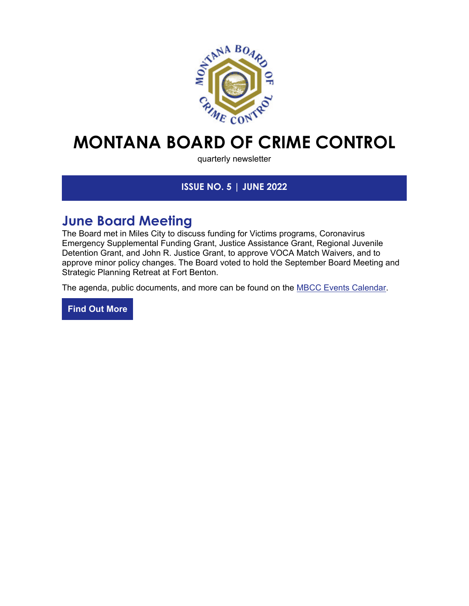

# **MONTANA BOARD OF CRIME CONTROL**

quarterly newsletter

### **ISSUE NO. 5 | JUNE 2022**

## **June Board Meeting**

The Board met in Miles City to discuss funding for Victims programs, Coronavirus Emergency Supplemental Funding Grant, Justice Assistance Grant, Regional Juvenile Detention Grant, and John R. Justice Grant, to approve VOCA Match Waivers, and to approve minor policy changes. The Board voted to hold the September Board Meeting and Strategic Planning Retreat at Fort Benton.

The agenda, public documents, and more can be found on the **MBCC Events Calendar**.

**[Find Out More](https://lnks.gd/l/eyJhbGciOiJIUzI1NiJ9.eyJidWxsZXRpbl9saW5rX2lkIjoxMDEsInVyaSI6ImJwMjpjbGljayIsImJ1bGxldGluX2lkIjoiMjAyMjA2MTYuNTk1MTExNTEiLCJ1cmwiOiJodHRwczovL21iY2MubXQuZ292L0V2ZW50cy9FdmVudC1DYWxlbmRhciJ9.zRESLQEl8jqBIVAvMrye0eMvrmdTu2bdhR32C3eHYGU/s/2126151703/br/133212233428-l)**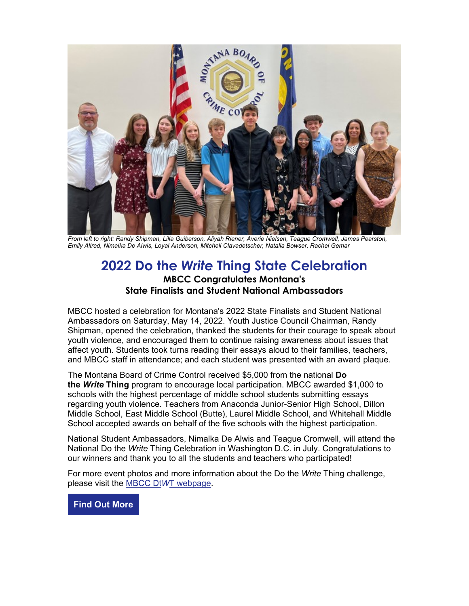

*From left to right: Randy Shipman, Lilla Guiberson, Aliyah Riener, Averie Nielsen, Teague Cromwell, James Pearston, Emily Allred, Nimalka De Alwis, Loyal Anderson, Mitchell Clavadetscher, Natalia Bowser, Rachel Gemar*

### **2022 Do the** *Write* **Thing State Celebration MBCC Congratulates Montana's State Finalists and Student National Ambassadors**

MBCC hosted a celebration for Montana's 2022 State Finalists and Student National Ambassadors on Saturday, May 14, 2022. Youth Justice Council Chairman, Randy Shipman, opened the celebration, thanked the students for their courage to speak about youth violence, and encouraged them to continue raising awareness about issues that affect youth. Students took turns reading their essays aloud to their families, teachers, and MBCC staff in attendance; and each student was presented with an award plaque.

The Montana Board of Crime Control received \$5,000 from the national **Do the** *Write* **Thing** program to encourage local participation. MBCC awarded \$1,000 to schools with the highest percentage of middle school students submitting essays regarding youth violence. Teachers from Anaconda Junior-Senior High School, Dillon Middle School, East Middle School (Butte), Laurel Middle School, and Whitehall Middle School accepted awards on behalf of the five schools with the highest participation.

National Student Ambassadors, Nimalka De Alwis and Teague Cromwell, will attend the National Do the *Write* Thing Celebration in Washington D.C. in July. Congratulations to our winners and thank you to all the students and teachers who participated!

For more event photos and more information about the Do the *Write* Thing challenge, please visit the MBCC Dt*W*[T webpage.](https://lnks.gd/l/eyJhbGciOiJIUzI1NiJ9.eyJidWxsZXRpbl9saW5rX2lkIjoxMDIsInVyaSI6ImJwMjpjbGljayIsImJ1bGxldGluX2lkIjoiMjAyMjA2MTYuNTk1MTExNTEiLCJ1cmwiOiJodHRwczovL2xua3MuZ2QvbC9leUpoYkdjaU9pSklVekkxTmlKOS5leUppZFd4c1pYUnBibDlzYVc1clgybGtJam94TVRFc0luVnlhU0k2SW1Kd01qcGpiR2xqYXlJc0ltSjFiR3hsZEdsdVgybGtJam9pTWpBeU1UQTVNekF1TkRZM01EY3lNakVpTENKMWNtd2lPaUpvZEhSd2N6b3ZMMjFpWTJNdWJYUXVaMjkyTDFCeWIyZHlZVzF6TDBwMWRtVnVhV3hsTFVwMWMzUnBZMlV2VUhKdmFtVmpkSE12Ukc4dGRHaGxMVmR5YVhSbExWUm9hVzVuSW4wLlM1bWpERE9mMmtTOTNnNXA5V2hfY3duMS1wY2xEVHd4WmhqVkNIRnJ6OFEvcy8xMDg5MjIwNTAzL2JyLzExMzE3Nzg4MjMzNS1sIn0.RHRssn8gVZRqRZxpPHlHtQWQzlnBQq_lKG-A9IAL9y4/s/2126151703/br/133212233428-l)

**[Find Out More](https://lnks.gd/l/eyJhbGciOiJIUzI1NiJ9.eyJidWxsZXRpbl9saW5rX2lkIjoxMDMsInVyaSI6ImJwMjpjbGljayIsImJ1bGxldGluX2lkIjoiMjAyMjA2MTYuNTk1MTExNTEiLCJ1cmwiOiJodHRwczovL21iY2MubXQuZ292L1Byb2dyYW1zL0p1dmVuaWxlLUp1c3RpY2UvUHJvamVjdHMvRG8tdGhlLVdyaXRlLVRoaW5nLyJ9.Ww4q5xD9uD3DyGZFsMByefbLV0aPRpGrKbQieqqccYI/s/2126151703/br/133212233428-l)**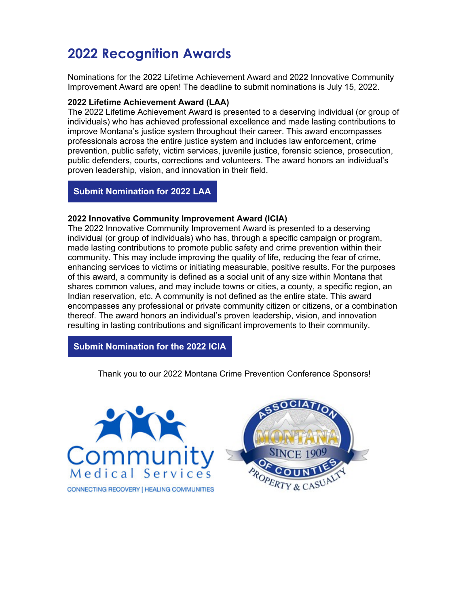## **2022 Recognition Awards**

Nominations for the 2022 Lifetime Achievement Award and 2022 Innovative Community Improvement Award are open! The deadline to submit nominations is July 15, 2022.

#### **2022 Lifetime Achievement Award (LAA)**

The 2022 Lifetime Achievement Award is presented to a deserving individual (or group of individuals) who has achieved professional excellence and made lasting contributions to improve Montana's justice system throughout their career. This award encompasses professionals across the entire justice system and includes law enforcement, crime prevention, public safety, victim services, juvenile justice, forensic science, prosecution, public defenders, courts, corrections and volunteers. The award honors an individual's proven leadership, vision, and innovation in their field.

**[Submit Nomination for 2022 LAA](https://lnks.gd/l/eyJhbGciOiJIUzI1NiJ9.eyJidWxsZXRpbl9saW5rX2lkIjoxMDQsInVyaSI6ImJwMjpjbGljayIsImJ1bGxldGluX2lkIjoiMjAyMjA2MTYuNTk1MTExNTEiLCJ1cmwiOiJodHRwczovL2Zvcm1zLm9mZmljZS5jb20vUGFnZXMvUmVzcG9uc2VQYWdlLmFzcHg_aWQ9bUV5cEJ3X3p1MHE5ZnRZX2h5RGNBdFFYZURwcExyOURpYkJDa05Bem5tVlVORlZTTVU4eVZFWlhXRlJIVEZWUlZrRkNSVk5YVXpKUFRTNHUifQ.F0MG3Yf50KslsYfEtsJ_t_2qx-dSwsDHXUXloZ52Tcs/s/2126151703/br/133212233428-l)**

#### **2022 Innovative Community Improvement Award (ICIA)**

The 2022 Innovative Community Improvement Award is presented to a deserving individual (or group of individuals) who has, through a specific campaign or program, made lasting contributions to promote public safety and crime prevention within their community. This may include improving the quality of life, reducing the fear of crime, enhancing services to victims or initiating measurable, positive results. For the purposes of this award, a community is defined as a social unit of any size within Montana that shares common values, and may include towns or cities, a county, a specific region, an Indian reservation, etc. A community is not defined as the entire state. This award encompasses any professional or private community citizen or citizens, or a combination thereof. The award honors an individual's proven leadership, vision, and innovation resulting in lasting contributions and significant improvements to their community.

**Submit [Nomination for the 2022 ICIA](https://lnks.gd/l/eyJhbGciOiJIUzI1NiJ9.eyJidWxsZXRpbl9saW5rX2lkIjoxMDUsInVyaSI6ImJwMjpjbGljayIsImJ1bGxldGluX2lkIjoiMjAyMjA2MTYuNTk1MTExNTEiLCJ1cmwiOiJodHRwczovL2xua3MuZ2QvbC9leUpoYkdjaU9pSklVekkxTmlKOS5leUppZFd4c1pYUnBibDlzYVc1clgybGtJam94TURFc0luVnlhU0k2SW1Kd01qcGpiR2xqYXlJc0ltSjFiR3hsZEdsdVgybGtJam9pTWpBeU1qQTFNak11TlRnek1qSTVOVEVpTENKMWNtd2lPaUpvZEhSd2N6b3ZMMlp2Y20xekxtOW1abWxqWlM1amIyMHZVR0ZuWlhNdlVtVnpjRzl1YzJWUVlXZGxMbUZ6Y0hnX2FXUTliVVY1Y0VKM1gzcDFNSEU1Wm5SWlgyaDVSR05CZEZGWVpVUndjRXh5T1VScFlrSkRhMDVCZW01dFZsVk5SWGhMVWxWWk5WUnJjM2RQUlZFeVVsWnNUVTB4YTNkVlZWSlhVV3N3TUZWRE5IVWlmUS5Oak1GY01LRGdHaEZwallXUDRrQmM5aHk1WV9acTJmQndMblpRTzJKcFlJL3MvMjEyNjE1MTcwMy9ici8xMzE3NTk2NTUxMDQtbCJ9.3R72KdR20rCFsbzL00CDLLDPAJYn28sRUlOlO-ihv8o/s/2126151703/br/133212233428-l)**

Thank you to our 2022 Montana Crime Prevention Conference Sponsors!



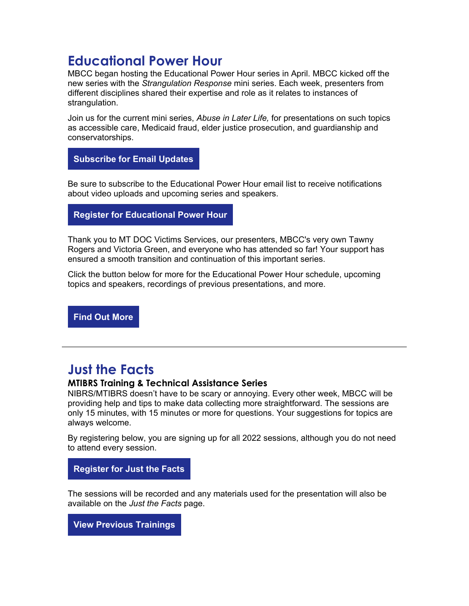### **Educational Power Hour**

MBCC began hosting the Educational Power Hour series in April. MBCC kicked off the new series with the *Strangulation Response* mini series. Each week, presenters from different disciplines shared their expertise and role as it relates to instances of strangulation.

Join us for the current mini series, *Abuse in Later Life,* for presentations on such topics as accessible care, Medicaid fraud, elder justice prosecution, and guardianship and conservatorships.

**[Subscribe for Email Updates](https://lnks.gd/l/eyJhbGciOiJIUzI1NiJ9.eyJidWxsZXRpbl9saW5rX2lkIjoxMTIsInVyaSI6ImJwMjpjbGljayIsImJ1bGxldGluX2lkIjoiMjAyMjA2MTYuNTk1MTExNTEiLCJ1cmwiOiJodHRwczovL3B1YmxpYy5nb3ZkZWxpdmVyeS5jb20vYWNjb3VudHMvTVRCQ0Mvc3Vic2NyaWJlci9uZXc_cXNwPUNPREVfUkVEIn0.bhLsbZTBtta-Milskgv7XrKDV7JMe5lDvAEm3DZccxs/s/2126151703/br/133212233428-l)**

Be sure to subscribe to the Educational Power Hour email list to receive notifications about video uploads and upcoming series and speakers.

**[Register for Educational Power Hour](https://lnks.gd/l/eyJhbGciOiJIUzI1NiJ9.eyJidWxsZXRpbl9saW5rX2lkIjoxMTMsInVyaSI6ImJwMjpjbGljayIsImJ1bGxldGluX2lkIjoiMjAyMjA2MTYuNTk1MTExNTEiLCJ1cmwiOiJodHRwczovL210LWdvdi56b29tLnVzL21lZXRpbmcvcmVnaXN0ZXIvdFowcmR1LXFyejBvR05aU1lNQ0N2aTVhWTFrY2o5QTMyOWtpP194X3ptX3J0YWlkPW9yQS1PR0hzUU9tTmxpVnJFb1B0YlEuMTY1NDAyMzcwNDM1NS45NDA1YmUyZmNiNDFhYjMwZDVlNDFjNDIwODJlYTAzZiZfeF96bV9yaHRhaWQ9NzM1In0.MSuxRDQ4U-W7mBPlURAHG9AFZGEaoiiRdwt7Anj9Ehg/s/2126151703/br/133212233428-l)**

Thank you to MT DOC Victims Services, our presenters, MBCC's very own Tawny Rogers and Victoria Green, and everyone who has attended so far! Your support has ensured a smooth transition and continuation of this important series.

Click the button below for more for the Educational Power Hour schedule, upcoming topics and speakers, recordings of previous presentations, and more.

**[Find Out More](https://lnks.gd/l/eyJhbGciOiJIUzI1NiJ9.eyJidWxsZXRpbl9saW5rX2lkIjoxMTQsInVyaSI6ImJwMjpjbGljayIsImJ1bGxldGluX2lkIjoiMjAyMjA2MTYuNTk1MTExNTEiLCJ1cmwiOiJodHRwczovL21iY2MubXQuZ292L0V2ZW50cy9FZHVjYXRpb25hbC1Qb3dlci1Ib3VyIn0.VTGsP2aQPKzmK4oN5Fm-PTuNIGcRBCK09uf_HnFHcrw/s/2126151703/br/133212233428-l)**

### **Just the Facts**

#### **MTIBRS Training & Technical Assistance Series**

NIBRS/MTIBRS doesn't have to be scary or annoying. Every other week, MBCC will be providing help and tips to make data collecting more straightforward. The sessions are only 15 minutes, with 15 minutes or more for questions. Your suggestions for topics are always welcome.

By registering below, you are signing up for all 2022 sessions, although you do not need to attend every session.

**Register [for Just the Facts](https://lnks.gd/l/eyJhbGciOiJIUzI1NiJ9.eyJidWxsZXRpbl9saW5rX2lkIjoxMTUsInVyaSI6ImJwMjpjbGljayIsImJ1bGxldGluX2lkIjoiMjAyMjA2MTYuNTk1MTExNTEiLCJ1cmwiOiJodHRwczovL210LWdvdi56b29tLnVzL3dlYmluYXIvcmVnaXN0ZXIvV05fai1Za3ZrenBUYkdURnk4UVc2WnhydyJ9.g-4kze-CYVF68rZSJcwOHQkIJYOyo_BXj6p7d2RcP5E/s/2126151703/br/133212233428-l)**

The sessions will be recorded and any materials used for the presentation will also be available on the *Just the Facts* page.

**[View Previous Trainings](https://lnks.gd/l/eyJhbGciOiJIUzI1NiJ9.eyJidWxsZXRpbl9saW5rX2lkIjoxMTYsInVyaSI6ImJwMjpjbGljayIsImJ1bGxldGluX2lkIjoiMjAyMjA2MTYuNTk1MTExNTEiLCJ1cmwiOiJodHRwczovL21iY2MubXQuZ292L0RhdGEvTVRJQlJTLVRyYWluaW5nIn0.dNBaNtP5ouT9ib-gKPumlEjR7XyFYPcmIdAhcgqRzwY/s/2126151703/br/133212233428-l)**